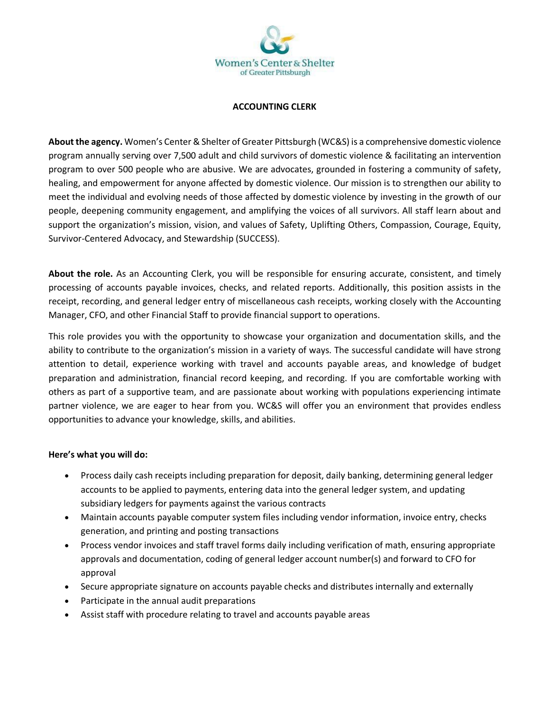

## **ACCOUNTING CLERK**

**About the agency.** Women's Center & Shelter of Greater Pittsburgh (WC&S) is a comprehensive domestic violence program annually serving over 7,500 adult and child survivors of domestic violence & facilitating an intervention program to over 500 people who are abusive. We are advocates, grounded in fostering a community of safety, healing, and empowerment for anyone affected by domestic violence. Our mission is to strengthen our ability to meet the individual and evolving needs of those affected by domestic violence by investing in the growth of our people, deepening community engagement, and amplifying the voices of all survivors. All staff learn about and support the organization's mission, vision, and values of Safety, Uplifting Others, Compassion, Courage, Equity, Survivor-Centered Advocacy, and Stewardship (SUCCESS).

**About the role.** As an Accounting Clerk, you will be responsible for ensuring accurate, consistent, and timely processing of accounts payable invoices, checks, and related reports. Additionally, this position assists in the receipt, recording, and general ledger entry of miscellaneous cash receipts, working closely with the Accounting Manager, CFO, and other Financial Staff to provide financial support to operations.

This role provides you with the opportunity to showcase your organization and documentation skills, and the ability to contribute to the organization's mission in a variety of ways. The successful candidate will have strong attention to detail, experience working with travel and accounts payable areas, and knowledge of budget preparation and administration, financial record keeping, and recording. If you are comfortable working with others as part of a supportive team, and are passionate about working with populations experiencing intimate partner violence, we are eager to hear from you. WC&S will offer you an environment that provides endless opportunities to advance your knowledge, skills, and abilities.

## **Here's what you will do:**

- Process daily cash receipts including preparation for deposit, daily banking, determining general ledger accounts to be applied to payments, entering data into the general ledger system, and updating subsidiary ledgers for payments against the various contracts
- Maintain accounts payable computer system files including vendor information, invoice entry, checks generation, and printing and posting transactions
- Process vendor invoices and staff travel forms daily including verification of math, ensuring appropriate approvals and documentation, coding of general ledger account number(s) and forward to CFO for approval
- Secure appropriate signature on accounts payable checks and distributes internally and externally
- Participate in the annual audit preparations
- Assist staff with procedure relating to travel and accounts payable areas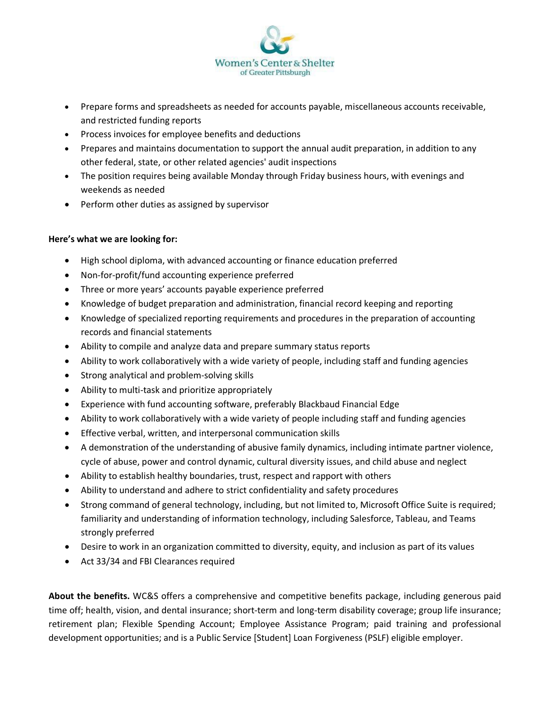

- Prepare forms and spreadsheets as needed for accounts payable, miscellaneous accounts receivable, and restricted funding reports
- Process invoices for employee benefits and deductions
- Prepares and maintains documentation to support the annual audit preparation, in addition to any other federal, state, or other related agencies' audit inspections
- The position requires being available Monday through Friday business hours, with evenings and weekends as needed
- Perform other duties as assigned by supervisor

## **Here's what we are looking for:**

- High school diploma, with advanced accounting or finance education preferred
- Non-for-profit/fund accounting experience preferred
- Three or more years' accounts payable experience preferred
- Knowledge of budget preparation and administration, financial record keeping and reporting
- Knowledge of specialized reporting requirements and procedures in the preparation of accounting records and financial statements
- Ability to compile and analyze data and prepare summary status reports
- Ability to work collaboratively with a wide variety of people, including staff and funding agencies
- Strong analytical and problem-solving skills
- Ability to multi-task and prioritize appropriately
- Experience with fund accounting software, preferably Blackbaud Financial Edge
- Ability to work collaboratively with a wide variety of people including staff and funding agencies
- Effective verbal, written, and interpersonal communication skills
- A demonstration of the understanding of abusive family dynamics, including intimate partner violence, cycle of abuse, power and control dynamic, cultural diversity issues, and child abuse and neglect
- Ability to establish healthy boundaries, trust, respect and rapport with others
- Ability to understand and adhere to strict confidentiality and safety procedures
- Strong command of general technology, including, but not limited to, Microsoft Office Suite is required; familiarity and understanding of information technology, including Salesforce, Tableau, and Teams strongly preferred
- Desire to work in an organization committed to diversity, equity, and inclusion as part of its values
- Act 33/34 and FBI Clearances required

**About the benefits.** WC&S offers a comprehensive and competitive benefits package, including generous paid time off; health, vision, and dental insurance; short-term and long-term disability coverage; group life insurance; retirement plan; Flexible Spending Account; Employee Assistance Program; paid training and professional development opportunities; and is a Public Service [Student] Loan Forgiveness (PSLF) eligible employer.